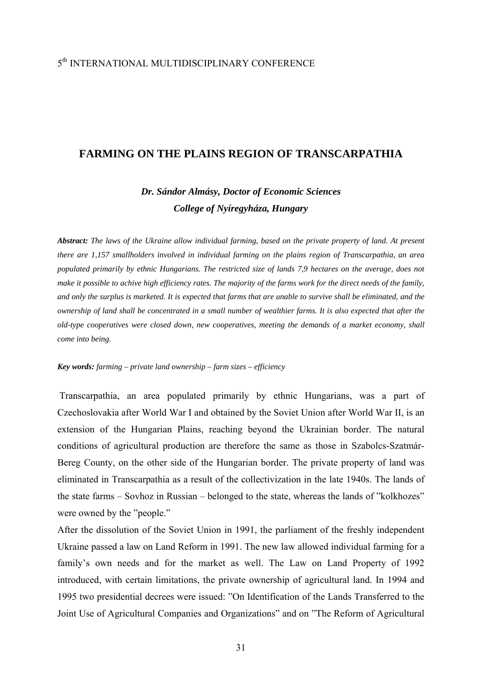## 5th INTERNATIONAL MULTIDISCIPLINARY CONFERENCE

## **FARMING ON THE PLAINS REGION OF TRANSCARPATHIA**

# *Dr. Sándor Almásy, Doctor of Economic Sciences College of Nyíregyháza, Hungary*

*Abstract: The laws of the Ukraine allow individual farming, based on the private property of land. At present there are 1,157 smallholders involved in individual farming on the plains region of Transcarpathia, an area populated primarily by ethnic Hungarians. The restricted size of lands 7,9 hectares on the average, does not make it possible to achive high efficiency rates. The majority of the farms work for the direct needs of the family, and only the surplus is marketed. It is expected that farms that are unable to survive shall be eliminated, and the ownership of land shall be concentrated in a small number of wealthier farms. It is also expected that after the old-type cooperatives were closed down, new cooperatives, meeting the demands of a market economy, shall come into being.* 

#### *Key words: farming – private land ownership – farm sizes – efficiency*

Transcarpathia, an area populated primarily by ethnic Hungarians, was a part of Czechoslovakia after World War I and obtained by the Soviet Union after World War II, is an extension of the Hungarian Plains, reaching beyond the Ukrainian border. The natural conditions of agricultural production are therefore the same as those in Szabolcs-Szatmár-Bereg County, on the other side of the Hungarian border. The private property of land was eliminated in Transcarpathia as a result of the collectivization in the late 1940s. The lands of the state farms – Sovhoz in Russian – belonged to the state, whereas the lands of "kolkhozes" were owned by the "people."

After the dissolution of the Soviet Union in 1991, the parliament of the freshly independent Ukraine passed a law on Land Reform in 1991. The new law allowed individual farming for a family's own needs and for the market as well. The Law on Land Property of 1992 introduced, with certain limitations, the private ownership of agricultural land. In 1994 and 1995 two presidential decrees were issued: "On Identification of the Lands Transferred to the Joint Use of Agricultural Companies and Organizations" and on "The Reform of Agricultural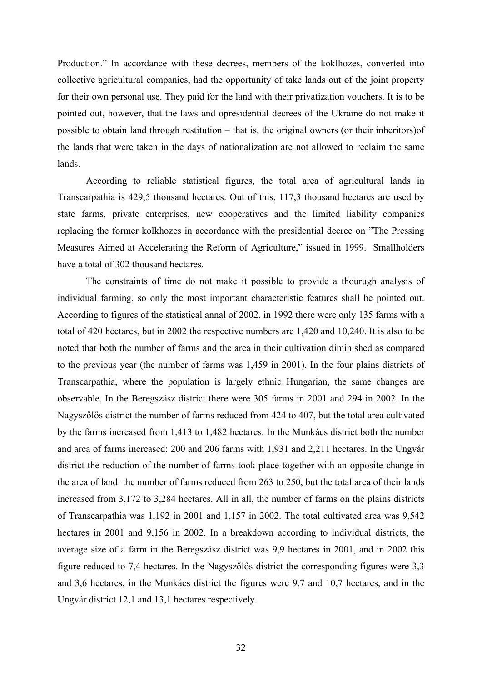Production." In accordance with these decrees, members of the koklhozes, converted into collective agricultural companies, had the opportunity of take lands out of the joint property for their own personal use. They paid for the land with their privatization vouchers. It is to be pointed out, however, that the laws and opresidential decrees of the Ukraine do not make it possible to obtain land through restitution – that is, the original owners (or their inheritors)of the lands that were taken in the days of nationalization are not allowed to reclaim the same lands.

According to reliable statistical figures, the total area of agricultural lands in Transcarpathia is 429,5 thousand hectares. Out of this, 117,3 thousand hectares are used by state farms, private enterprises, new cooperatives and the limited liability companies replacing the former kolkhozes in accordance with the presidential decree on "The Pressing Measures Aimed at Accelerating the Reform of Agriculture," issued in 1999. Smallholders have a total of 302 thousand hectares.

The constraints of time do not make it possible to provide a thourugh analysis of individual farming, so only the most important characteristic features shall be pointed out. According to figures of the statistical annal of 2002, in 1992 there were only 135 farms with a total of 420 hectares, but in 2002 the respective numbers are 1,420 and 10,240. It is also to be noted that both the number of farms and the area in their cultivation diminished as compared to the previous year (the number of farms was 1,459 in 2001). In the four plains districts of Transcarpathia, where the population is largely ethnic Hungarian, the same changes are observable. In the Beregszász district there were 305 farms in 2001 and 294 in 2002. In the Nagyszőlős district the number of farms reduced from 424 to 407, but the total area cultivated by the farms increased from 1,413 to 1,482 hectares. In the Munkács district both the number and area of farms increased: 200 and 206 farms with 1,931 and 2,211 hectares. In the Ungvár district the reduction of the number of farms took place together with an opposite change in the area of land: the number of farms reduced from 263 to 250, but the total area of their lands increased from 3,172 to 3,284 hectares. All in all, the number of farms on the plains districts of Transcarpathia was 1,192 in 2001 and 1,157 in 2002. The total cultivated area was 9,542 hectares in 2001 and 9,156 in 2002. In a breakdown according to individual districts, the average size of a farm in the Beregszász district was 9,9 hectares in 2001, and in 2002 this figure reduced to 7,4 hectares. In the Nagyszőlős district the corresponding figures were 3,3 and 3,6 hectares, in the Munkács district the figures were 9,7 and 10,7 hectares, and in the Ungvár district 12,1 and 13,1 hectares respectively.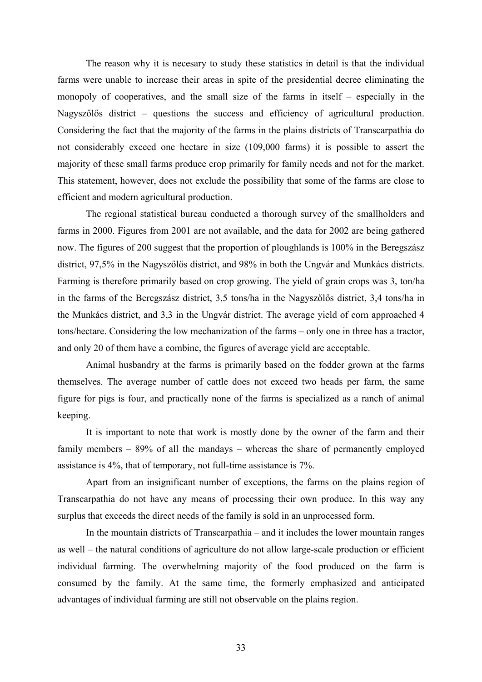The reason why it is necesary to study these statistics in detail is that the individual farms were unable to increase their areas in spite of the presidential decree eliminating the monopoly of cooperatives, and the small size of the farms in itself – especially in the Nagyszőlős district – questions the success and efficiency of agricultural production. Considering the fact that the majority of the farms in the plains districts of Transcarpathia do not considerably exceed one hectare in size (109,000 farms) it is possible to assert the majority of these small farms produce crop primarily for family needs and not for the market. This statement, however, does not exclude the possibility that some of the farms are close to efficient and modern agricultural production.

The regional statistical bureau conducted a thorough survey of the smallholders and farms in 2000. Figures from 2001 are not available, and the data for 2002 are being gathered now. The figures of 200 suggest that the proportion of ploughlands is 100% in the Beregszász district, 97,5% in the Nagyszőlős district, and 98% in both the Ungvár and Munkács districts. Farming is therefore primarily based on crop growing. The yield of grain crops was 3, ton/ha in the farms of the Beregszász district, 3,5 tons/ha in the Nagyszőlős district, 3,4 tons/ha in the Munkács district, and 3,3 in the Ungvár district. The average yield of corn approached 4 tons/hectare. Considering the low mechanization of the farms – only one in three has a tractor, and only 20 of them have a combine, the figures of average yield are acceptable.

Animal husbandry at the farms is primarily based on the fodder grown at the farms themselves. The average number of cattle does not exceed two heads per farm, the same figure for pigs is four, and practically none of the farms is specialized as a ranch of animal keeping.

It is important to note that work is mostly done by the owner of the farm and their family members – 89% of all the mandays – whereas the share of permanently employed assistance is 4%, that of temporary, not full-time assistance is 7%.

Apart from an insignificant number of exceptions, the farms on the plains region of Transcarpathia do not have any means of processing their own produce. In this way any surplus that exceeds the direct needs of the family is sold in an unprocessed form.

In the mountain districts of Transcarpathia – and it includes the lower mountain ranges as well – the natural conditions of agriculture do not allow large-scale production or efficient individual farming. The overwhelming majority of the food produced on the farm is consumed by the family. At the same time, the formerly emphasized and anticipated advantages of individual farming are still not observable on the plains region.